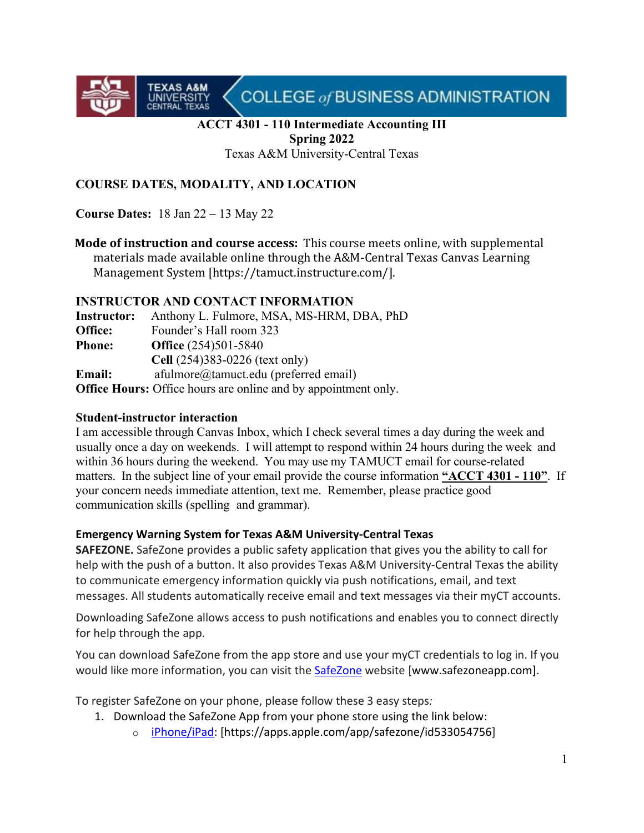COLLEGE of BUSINESS ADMINISTRATION

# **ACCT 4301 - 110 Intermediate Accounting III Spring 2022**

Texas A&M University-Central Texas

# **COURSE DATES, MODALITY, AND LOCATION**

**Course Dates:** 18 Jan 22 – 13 May 22

**TEXAS A&M**<br>UNIVERSITY<br>CENTRAL TEXAS

**Mode of instruction and course access:** This course meets online, with supplemental materials made available online through the A&M-Central Texas Canvas Learning Management System [https://tamuct.instructure.com/].

#### **INSTRUCTOR AND CONTACT INFORMATION**

**Instructor:** Anthony L. Fulmore, MSA, MS-HRM, DBA, PhD **Office:** Founder's Hall room 323 **Phone: Office** (254)501-5840 **Cell** (254)383-0226 (text only) **Email:** afulmore@tamuct.edu (preferred email) **Office Hours:** Office hours are online and by appointment only.

#### **Student-instructor interaction**

I am accessible through Canvas Inbox, which I check several times a day during the week and usually once a day on weekends. I will attempt to respond within 24 hours during the week and within 36 hours during the weekend. You may use my TAMUCT email for course-related matters. In the subject line of your email provide the course information **"ACCT 4301 - 110"**. If your concern needs immediate attention, text me. Remember, please practice good communication skills (spelling and grammar).

# **Emergency Warning System for Texas A&M University-Central Texas**

**SAFEZONE.** SafeZone provides a public safety application that gives you the ability to call for help with the push of a button. It also provides Texas A&M University-Central Texas the ability to communicate emergency information quickly via push notifications, email, and text messages. All students automatically receive email and text messages via their myCT accounts.

Downloading SafeZone allows access to push notifications and enables you to connect directly for help through the app.

You can download SafeZone from the app store and use your myCT credentials to log in. If you would like more information, you can visit the **[SafeZone](http://www.safezoneapp.com/)** website [www.safezoneapp.com].

To register SafeZone on your phone, please follow these 3 easy steps*:* 

- 1. Download the SafeZone App from your phone store using the link below:
	- o [iPhone/iPad:](https://apps.apple.com/app/safezone/id533054756) [https://apps.apple.com/app/safezone/id533054756]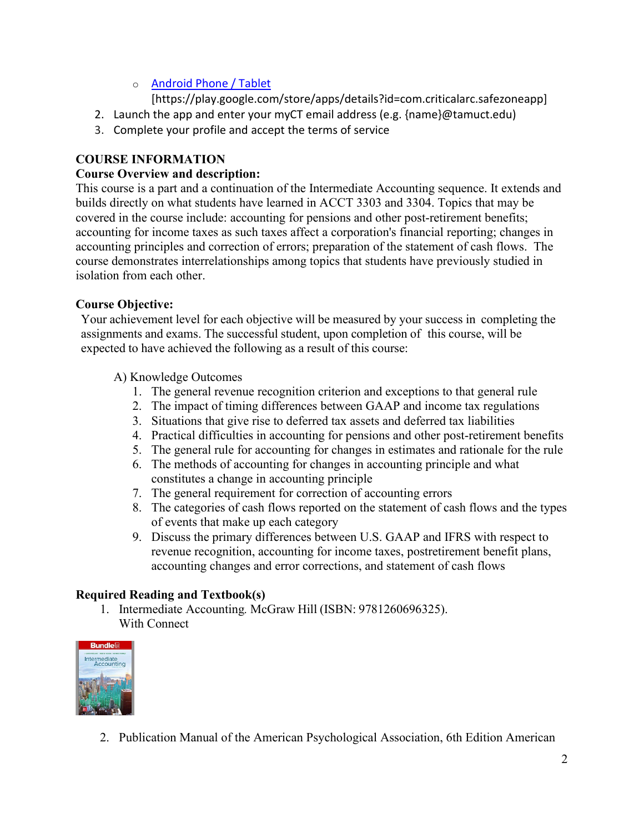# o [Android Phone / Tablet](https://play.google.com/store/apps/details?id=com.criticalarc.safezoneapp)

[https://play.google.com/store/apps/details?id=com.criticalarc.safezoneapp]

- 2. Launch the app and enter your myCT email address (e.g. {name}@tamuct.edu)
- 3. Complete your profile and accept the terms of service

# **COURSE INFORMATION**

# **Course Overview and description:**

This course is a part and a continuation of the Intermediate Accounting sequence. It extends and builds directly on what students have learned in ACCT 3303 and 3304. Topics that may be covered in the course include: accounting for pensions and other post-retirement benefits; accounting for income taxes as such taxes affect a corporation's financial reporting; changes in accounting principles and correction of errors; preparation of the statement of cash flows. The course demonstrates interrelationships among topics that students have previously studied in isolation from each other.

# **Course Objective:**

Your achievement level for each objective will be measured by your success in completing the assignments and exams. The successful student, upon completion of this course, will be expected to have achieved the following as a result of this course:

- A) Knowledge Outcomes
	- 1. The general revenue recognition criterion and exceptions to that general rule
	- 2. The impact of timing differences between GAAP and income tax regulations
	- 3. Situations that give rise to deferred tax assets and deferred tax liabilities
	- 4. Practical difficulties in accounting for pensions and other post-retirement benefits
	- 5. The general rule for accounting for changes in estimates and rationale for the rule
	- 6. The methods of accounting for changes in accounting principle and what constitutes a change in accounting principle
	- 7. The general requirement for correction of accounting errors
	- 8. The categories of cash flows reported on the statement of cash flows and the types of events that make up each category
	- 9. Discuss the primary differences between U.S. GAAP and IFRS with respect to revenue recognition, accounting for income taxes, postretirement benefit plans, accounting changes and error corrections, and statement of cash flows

# **Required Reading and Textbook(s)**

1. Intermediate Accounting*.* McGraw Hill (ISBN: 9781260696325). With Connect



2. Publication Manual of the American Psychological Association, 6th Edition American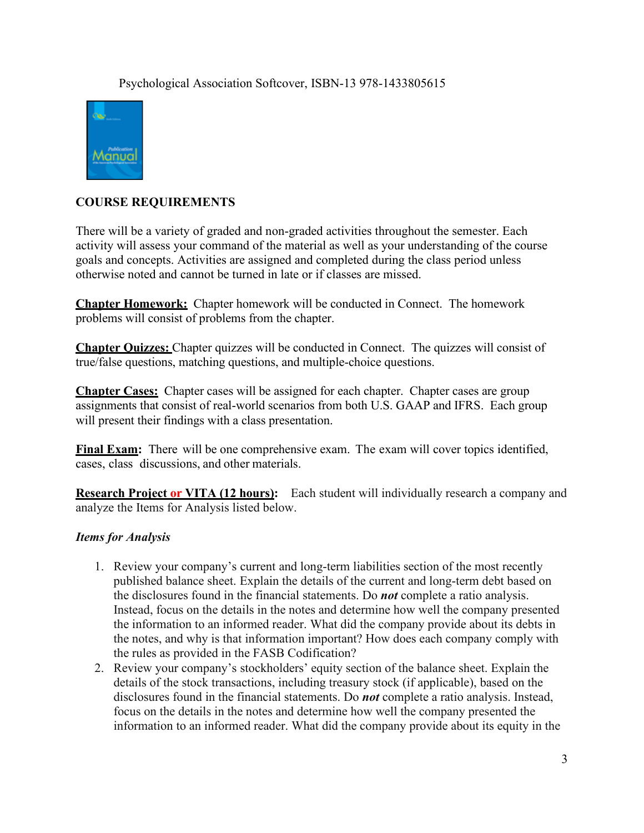#### Psychological Association Softcover, ISBN-13 978-1433805615



# **COURSE REQUIREMENTS**

There will be a variety of graded and non-graded activities throughout the semester. Each activity will assess your command of the material as well as your understanding of the course goals and concepts. Activities are assigned and completed during the class period unless otherwise noted and cannot be turned in late or if classes are missed.

**Chapter Homework:** Chapter homework will be conducted in Connect. The homework problems will consist of problems from the chapter.

**Chapter Quizzes:** Chapter quizzes will be conducted in Connect. The quizzes will consist of true/false questions, matching questions, and multiple-choice questions.

**Chapter Cases:** Chapter cases will be assigned for each chapter. Chapter cases are group assignments that consist of real-world scenarios from both U.S. GAAP and IFRS. Each group will present their findings with a class presentation.

**Final Exam:** There will be one comprehensive exam. The exam will cover topics identified, cases, class discussions, and other materials.

**Research Project or VITA (12 hours):** Each student will individually research a company and analyze the Items for Analysis listed below.

# *Items for Analysis*

- 1. Review your company's current and long-term liabilities section of the most recently published balance sheet. Explain the details of the current and long-term debt based on the disclosures found in the financial statements. Do *not* complete a ratio analysis. Instead, focus on the details in the notes and determine how well the company presented the information to an informed reader. What did the company provide about its debts in the notes, and why is that information important? How does each company comply with the rules as provided in the FASB Codification?
- 2. Review your company's stockholders' equity section of the balance sheet. Explain the details of the stock transactions, including treasury stock (if applicable), based on the disclosures found in the financial statements. Do *not* complete a ratio analysis. Instead, focus on the details in the notes and determine how well the company presented the information to an informed reader. What did the company provide about its equity in the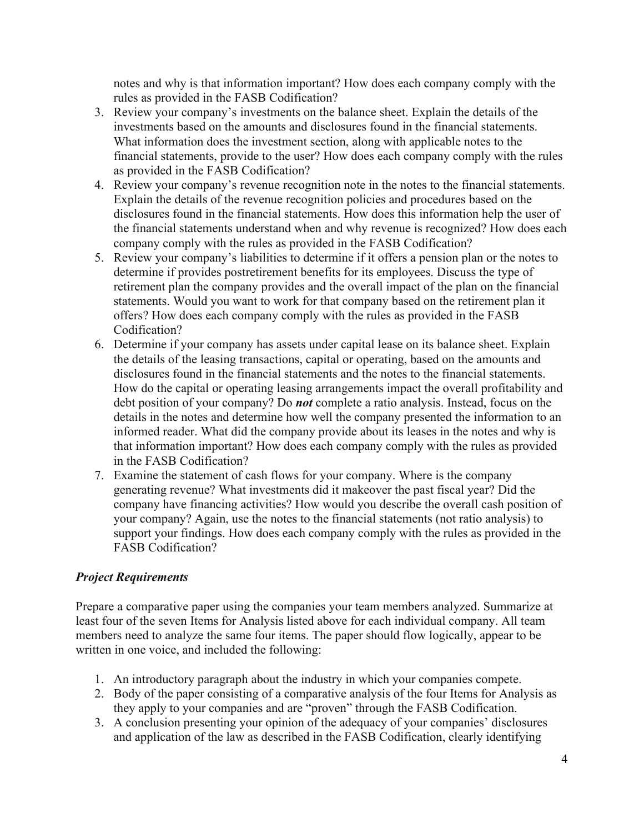notes and why is that information important? How does each company comply with the rules as provided in the FASB Codification?

- 3. Review your company's investments on the balance sheet. Explain the details of the investments based on the amounts and disclosures found in the financial statements. What information does the investment section, along with applicable notes to the financial statements, provide to the user? How does each company comply with the rules as provided in the FASB Codification?
- 4. Review your company's revenue recognition note in the notes to the financial statements. Explain the details of the revenue recognition policies and procedures based on the disclosures found in the financial statements. How does this information help the user of the financial statements understand when and why revenue is recognized? How does each company comply with the rules as provided in the FASB Codification?
- 5. Review your company's liabilities to determine if it offers a pension plan or the notes to determine if provides postretirement benefits for its employees. Discuss the type of retirement plan the company provides and the overall impact of the plan on the financial statements. Would you want to work for that company based on the retirement plan it offers? How does each company comply with the rules as provided in the FASB Codification?
- 6. Determine if your company has assets under capital lease on its balance sheet. Explain the details of the leasing transactions, capital or operating, based on the amounts and disclosures found in the financial statements and the notes to the financial statements. How do the capital or operating leasing arrangements impact the overall profitability and debt position of your company? Do *not* complete a ratio analysis. Instead, focus on the details in the notes and determine how well the company presented the information to an informed reader. What did the company provide about its leases in the notes and why is that information important? How does each company comply with the rules as provided in the FASB Codification?
- 7. Examine the statement of cash flows for your company. Where is the company generating revenue? What investments did it makeover the past fiscal year? Did the company have financing activities? How would you describe the overall cash position of your company? Again, use the notes to the financial statements (not ratio analysis) to support your findings. How does each company comply with the rules as provided in the FASB Codification?

# *Project Requirements*

Prepare a comparative paper using the companies your team members analyzed. Summarize at least four of the seven Items for Analysis listed above for each individual company. All team members need to analyze the same four items. The paper should flow logically, appear to be written in one voice, and included the following:

- 1. An introductory paragraph about the industry in which your companies compete.
- 2. Body of the paper consisting of a comparative analysis of the four Items for Analysis as they apply to your companies and are "proven" through the FASB Codification.
- 3. A conclusion presenting your opinion of the adequacy of your companies' disclosures and application of the law as described in the FASB Codification, clearly identifying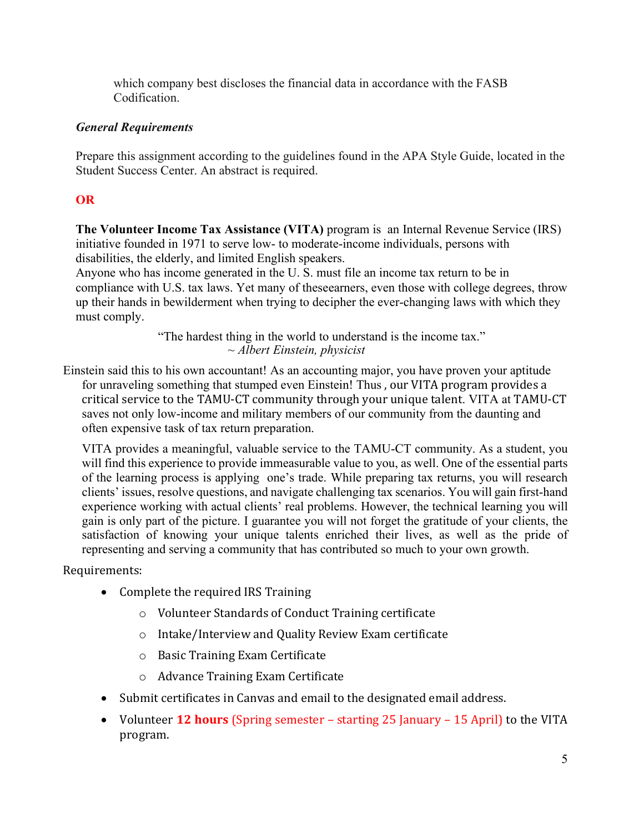which company best discloses the financial data in accordance with the FASB Codification.

# *General Requirements*

Prepare this assignment according to the guidelines found in the APA Style Guide, located in the Student Success Center. An abstract is required.

# **OR**

**The Volunteer Income Tax Assistance (VITA)** program is an Internal Revenue Service (IRS) initiative founded in 1971 to serve low- to moderate-income individuals, persons with disabilities, the elderly, and limited English speakers.

Anyone who has income generated in the U. S. must file an income tax return to be in compliance with U.S. tax laws. Yet many of theseearners, even those with college degrees, throw up their hands in bewilderment when trying to decipher the ever-changing laws with which they must comply.

> "The hardest thing in the world to understand is the income tax." *~ Albert Einstein, physicist*

Einstein said this to his own accountant! As an accounting major, you have proven your aptitude for unraveling something that stumped even Einstein! Thus , our VITA program provides a critical service to the TAMU-CT community through your unique talent. VITA at TAMU-CT saves not only low-income and military members of our community from the daunting and often expensive task of tax return preparation.

VITA provides a meaningful, valuable service to the TAMU-CT community. As a student, you will find this experience to provide immeasurable value to you, as well. One of the essential parts of the learning process is applying one's trade. While preparing tax returns, you will research clients' issues, resolve questions, and navigate challenging tax scenarios. You will gain first-hand experience working with actual clients' real problems. However, the technical learning you will gain is only part of the picture. I guarantee you will not forget the gratitude of your clients, the satisfaction of knowing your unique talents enriched their lives, as well as the pride of representing and serving a community that has contributed so much to your own growth.

Requirements:

- Complete the required IRS Training
	- o Volunteer Standards of Conduct Training certificate
	- o Intake/Interview and Quality Review Exam certificate
	- o Basic Training Exam Certificate
	- o Advance Training Exam Certificate
- Submit certificates in Canvas and email to the designated email address.
- Volunteer **12 hours** (Spring semester starting 25 January 15 April) to the VITA program.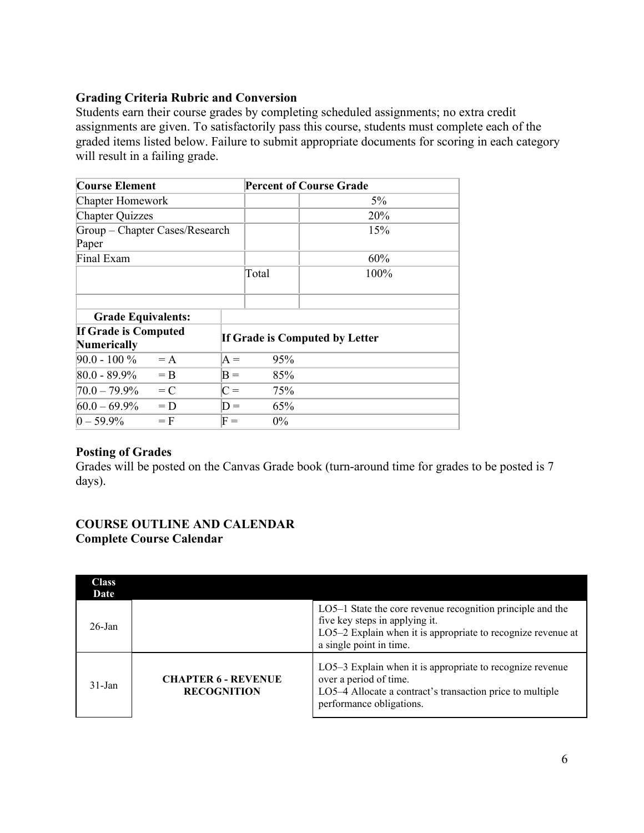# **Grading Criteria Rubric and Conversion**

Students earn their course grades by completing scheduled assignments; no extra credit assignments are given. To satisfactorily pass this course, students must complete each of the graded items listed below. Failure to submit appropriate documents for scoring in each category will result in a failing grade.

| <b>Course Element</b>          |       |                                | <b>Percent of Course Grade</b> |       |  |
|--------------------------------|-------|--------------------------------|--------------------------------|-------|--|
| <b>Chapter Homework</b>        |       |                                |                                | $5\%$ |  |
| <b>Chapter Quizzes</b>         |       |                                |                                | 20%   |  |
| Group - Chapter Cases/Research |       |                                |                                | 15%   |  |
| Paper                          |       |                                |                                |       |  |
| Final Exam                     |       |                                |                                | 60%   |  |
|                                |       |                                | Total                          | 100%  |  |
|                                |       |                                |                                |       |  |
|                                |       |                                |                                |       |  |
| <b>Grade Equivalents:</b>      |       |                                |                                |       |  |
| <b>If Grade is Computed</b>    |       | If Grade is Computed by Letter |                                |       |  |
| <b>Numerically</b>             |       |                                |                                |       |  |
| $90.0 - 100 \%$                | $= A$ | $A =$                          | 95%                            |       |  |
| 80.0 - 89.9%                   | $=$ B | $B =$                          | 85%                            |       |  |
| 70.0 – 79.9%                   | $= C$ | $C =$                          | 75%                            |       |  |
| $60.0 - 69.9\%$                | $= D$ | $D =$                          | 65%                            |       |  |
| $ 0 - 59.9\% $                 | $=$ F | $\mathrm{F} =$                 | $0\%$                          |       |  |

# **Posting of Grades**

Grades will be posted on the Canvas Grade book (turn-around time for grades to be posted is 7 days).

#### **COURSE OUTLINE AND CALENDAR Complete Course Calendar**

| <b>Class</b><br>Date |                                                  |                                                                                                                                                                                         |
|----------------------|--------------------------------------------------|-----------------------------------------------------------------------------------------------------------------------------------------------------------------------------------------|
| $26$ -Jan            |                                                  | LO5-1 State the core revenue recognition principle and the<br>five key steps in applying it.<br>LO5-2 Explain when it is appropriate to recognize revenue at<br>a single point in time. |
| $31 - Jan$           | <b>CHAPTER 6 - REVENUE</b><br><b>RECOGNITION</b> | LO5-3 Explain when it is appropriate to recognize revenue<br>over a period of time.<br>LO5-4 Allocate a contract's transaction price to multiple<br>performance obligations.            |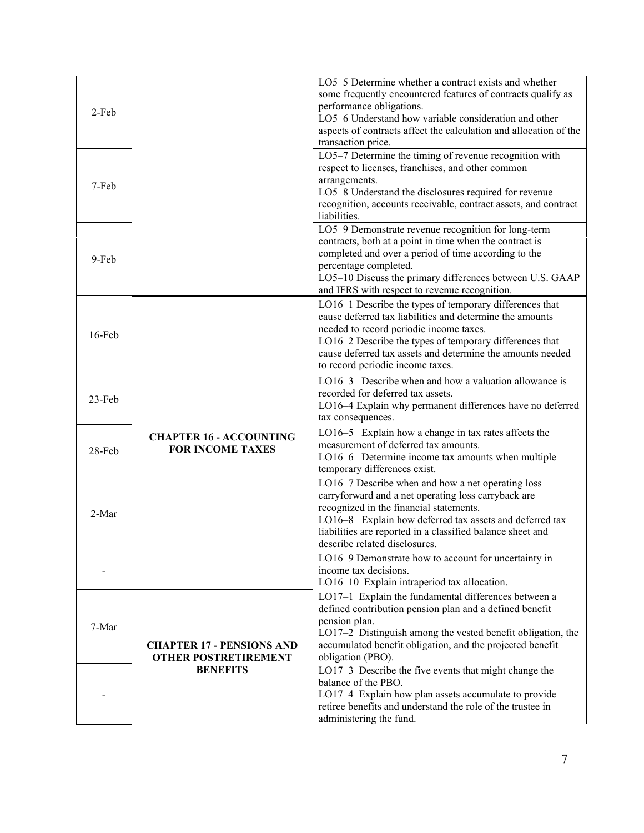| 2-Feb  |                                                                 | LO5-5 Determine whether a contract exists and whether<br>some frequently encountered features of contracts qualify as<br>performance obligations.<br>LO5-6 Understand how variable consideration and other<br>aspects of contracts affect the calculation and allocation of the<br>transaction price.                       |
|--------|-----------------------------------------------------------------|-----------------------------------------------------------------------------------------------------------------------------------------------------------------------------------------------------------------------------------------------------------------------------------------------------------------------------|
| 7-Feb  |                                                                 | LO5-7 Determine the timing of revenue recognition with<br>respect to licenses, franchises, and other common<br>arrangements.<br>LO5-8 Understand the disclosures required for revenue<br>recognition, accounts receivable, contract assets, and contract<br>liabilities.                                                    |
| 9-Feb  |                                                                 | LO5-9 Demonstrate revenue recognition for long-term<br>contracts, both at a point in time when the contract is<br>completed and over a period of time according to the<br>percentage completed.<br>LO5-10 Discuss the primary differences between U.S. GAAP<br>and IFRS with respect to revenue recognition.                |
| 16-Feb |                                                                 | LO16-1 Describe the types of temporary differences that<br>cause deferred tax liabilities and determine the amounts<br>needed to record periodic income taxes.<br>LO16-2 Describe the types of temporary differences that<br>cause deferred tax assets and determine the amounts needed<br>to record periodic income taxes. |
| 23-Feb |                                                                 | LO16-3 Describe when and how a valuation allowance is<br>recorded for deferred tax assets.<br>LO16-4 Explain why permanent differences have no deferred<br>tax consequences.                                                                                                                                                |
| 28-Feb | <b>CHAPTER 16 - ACCOUNTING</b><br><b>FOR INCOME TAXES</b>       | LO16-5 Explain how a change in tax rates affects the<br>measurement of deferred tax amounts.<br>LO16-6 Determine income tax amounts when multiple<br>temporary differences exist.                                                                                                                                           |
| 2-Mar  |                                                                 | LO16-7 Describe when and how a net operating loss<br>carryforward and a net operating loss carryback are<br>recognized in the financial statements.<br>LO16-8 Explain how deferred tax assets and deferred tax<br>liabilities are reported in a classified balance sheet and<br>describe related disclosures.               |
|        |                                                                 | LO16-9 Demonstrate how to account for uncertainty in<br>income tax decisions.<br>LO16-10 Explain intraperiod tax allocation.                                                                                                                                                                                                |
| 7-Mar  | <b>CHAPTER 17 - PENSIONS AND</b><br><b>OTHER POSTRETIREMENT</b> | LO17-1 Explain the fundamental differences between a<br>defined contribution pension plan and a defined benefit<br>pension plan.<br>LO17-2 Distinguish among the vested benefit obligation, the<br>accumulated benefit obligation, and the projected benefit<br>obligation (PBO).                                           |
|        | <b>BENEFITS</b>                                                 | LO17-3 Describe the five events that might change the<br>balance of the PBO.<br>LO17-4 Explain how plan assets accumulate to provide<br>retiree benefits and understand the role of the trustee in<br>administering the fund.                                                                                               |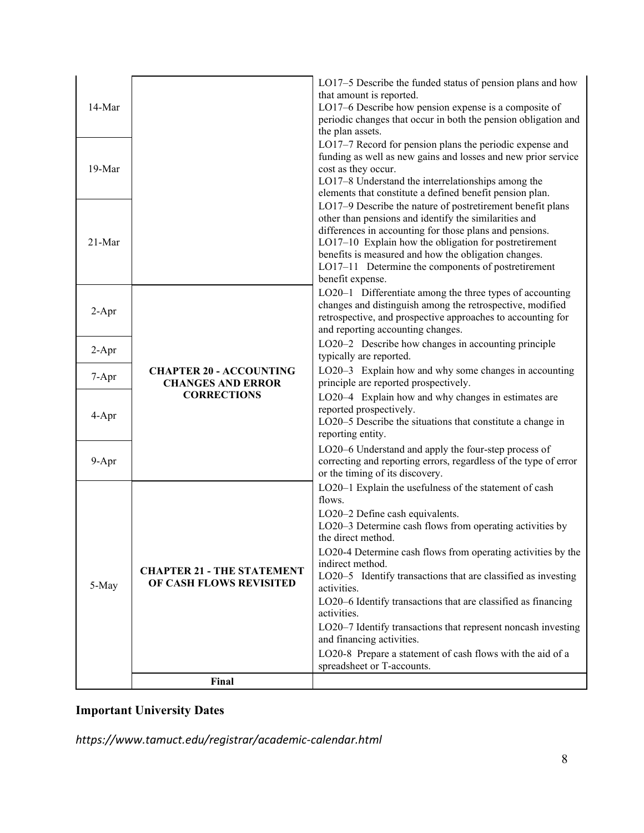| 14-Mar  |                                                                                  | LO17-5 Describe the funded status of pension plans and how<br>that amount is reported.<br>LO17-6 Describe how pension expense is a composite of<br>periodic changes that occur in both the pension obligation and<br>the plan assets.                                                                                                                                                                                                                                                                                                                                                                                               |
|---------|----------------------------------------------------------------------------------|-------------------------------------------------------------------------------------------------------------------------------------------------------------------------------------------------------------------------------------------------------------------------------------------------------------------------------------------------------------------------------------------------------------------------------------------------------------------------------------------------------------------------------------------------------------------------------------------------------------------------------------|
| 19-Mar  |                                                                                  | LO17-7 Record for pension plans the periodic expense and<br>funding as well as new gains and losses and new prior service<br>cost as they occur.<br>LO17-8 Understand the interrelationships among the<br>elements that constitute a defined benefit pension plan.                                                                                                                                                                                                                                                                                                                                                                  |
| 21-Mar  |                                                                                  | LO17-9 Describe the nature of postretirement benefit plans<br>other than pensions and identify the similarities and<br>differences in accounting for those plans and pensions.<br>LO17-10 Explain how the obligation for postretirement<br>benefits is measured and how the obligation changes.<br>LO17-11 Determine the components of postretirement<br>benefit expense.                                                                                                                                                                                                                                                           |
| $2-Apr$ | <b>CHAPTER 20 - ACCOUNTING</b><br><b>CHANGES AND ERROR</b><br><b>CORRECTIONS</b> | LO20-1 Differentiate among the three types of accounting<br>changes and distinguish among the retrospective, modified<br>retrospective, and prospective approaches to accounting for<br>and reporting accounting changes.                                                                                                                                                                                                                                                                                                                                                                                                           |
| $2-Apr$ |                                                                                  | LO20-2 Describe how changes in accounting principle<br>typically are reported.                                                                                                                                                                                                                                                                                                                                                                                                                                                                                                                                                      |
| 7-Apr   |                                                                                  | LO20-3 Explain how and why some changes in accounting<br>principle are reported prospectively.                                                                                                                                                                                                                                                                                                                                                                                                                                                                                                                                      |
| 4-Apr   |                                                                                  | LO20-4 Explain how and why changes in estimates are<br>reported prospectively.<br>LO20-5 Describe the situations that constitute a change in<br>reporting entity.                                                                                                                                                                                                                                                                                                                                                                                                                                                                   |
| 9-Apr   |                                                                                  | LO20-6 Understand and apply the four-step process of<br>correcting and reporting errors, regardless of the type of error<br>or the timing of its discovery.                                                                                                                                                                                                                                                                                                                                                                                                                                                                         |
| 5-May   | <b>CHAPTER 21 - THE STATEMENT</b><br>OF CASH FLOWS REVISITED                     | LO20-1 Explain the usefulness of the statement of cash<br>flows.<br>LO20-2 Define cash equivalents.<br>LO20-3 Determine cash flows from operating activities by<br>the direct method.<br>LO20-4 Determine cash flows from operating activities by the<br>indirect method.<br>LO20-5 Identify transactions that are classified as investing<br>activities.<br>LO20-6 Identify transactions that are classified as financing<br>activities.<br>LO20-7 Identify transactions that represent noncash investing<br>and financing activities.<br>LO20-8 Prepare a statement of cash flows with the aid of a<br>spreadsheet or T-accounts. |
|         | Final                                                                            |                                                                                                                                                                                                                                                                                                                                                                                                                                                                                                                                                                                                                                     |

# **Important University Dates**

*https://www.tamuct.edu/registrar/academic-calendar.html*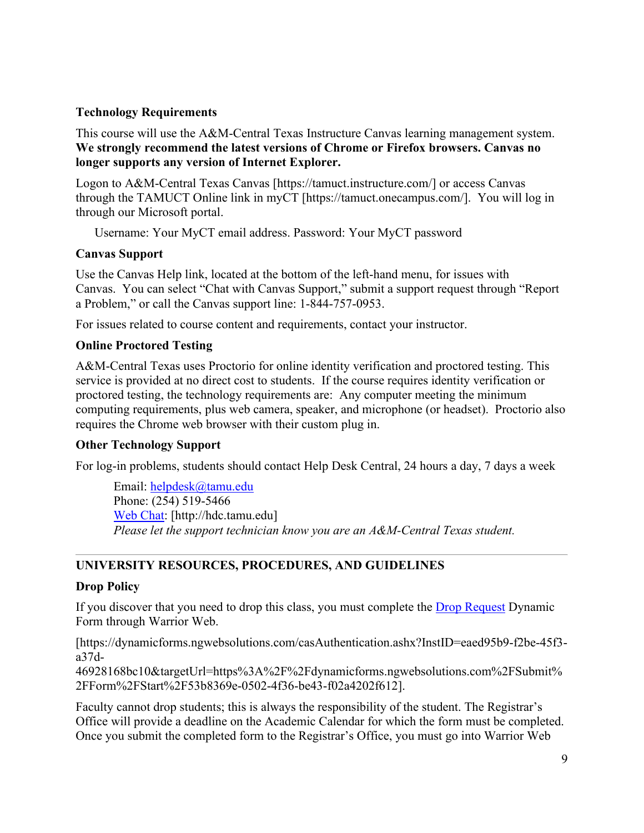#### **Technology Requirements**

This course will use the A&M-Central Texas Instructure Canvas learning management system. **We strongly recommend the latest versions of Chrome or Firefox browsers. Canvas no longer supports any version of Internet Explorer.**

Logon to A&M-Central Texas Canvas [https://tamuct.instructure.com/] or access Canvas through the TAMUCT Online link in myCT [https://tamuct.onecampus.com/]. You will log in through our Microsoft portal.

Username: Your MyCT email address. Password: Your MyCT password

#### **Canvas Support**

Use the Canvas Help link, located at the bottom of the left-hand menu, for issues with Canvas. You can select "Chat with Canvas Support," submit a support request through "Report a Problem," or call the Canvas support line: 1-844-757-0953.

For issues related to course content and requirements, contact your instructor.

#### **Online Proctored Testing**

A&M-Central Texas uses Proctorio for online identity verification and proctored testing. This service is provided at no direct cost to students. If the course requires identity verification or proctored testing, the technology requirements are: Any computer meeting the minimum computing requirements, plus web camera, speaker, and microphone (or headset). Proctorio also requires the Chrome web browser with their custom plug in.

# **Other Technology Support**

For log-in problems, students should contact Help Desk Central, 24 hours a day, 7 days a week

Email: [helpdesk@tamu.edu](mailto:helpdesk@tamu.edu) Phone: (254) 519-5466 [Web Chat:](http://hdc.tamu.edu/) [http://hdc.tamu.edu] *Please let the support technician know you are an A&M-Central Texas student.*

# **UNIVERSITY RESOURCES, PROCEDURES, AND GUIDELINES**

# **Drop Policy**

If you discover that you need to drop this class, you must complete the **Drop Request Dynamic** Form through Warrior Web.

[https://dynamicforms.ngwebsolutions.com/casAuthentication.ashx?InstID=eaed95b9-f2be-45f3 a37d-

46928168bc10&targetUrl=https%3A%2F%2Fdynamicforms.ngwebsolutions.com%2FSubmit% 2FForm%2FStart%2F53b8369e-0502-4f36-be43-f02a4202f612].

Faculty cannot drop students; this is always the responsibility of the student. The Registrar's Office will provide a deadline on the Academic Calendar for which the form must be completed. Once you submit the completed form to the Registrar's Office, you must go into Warrior Web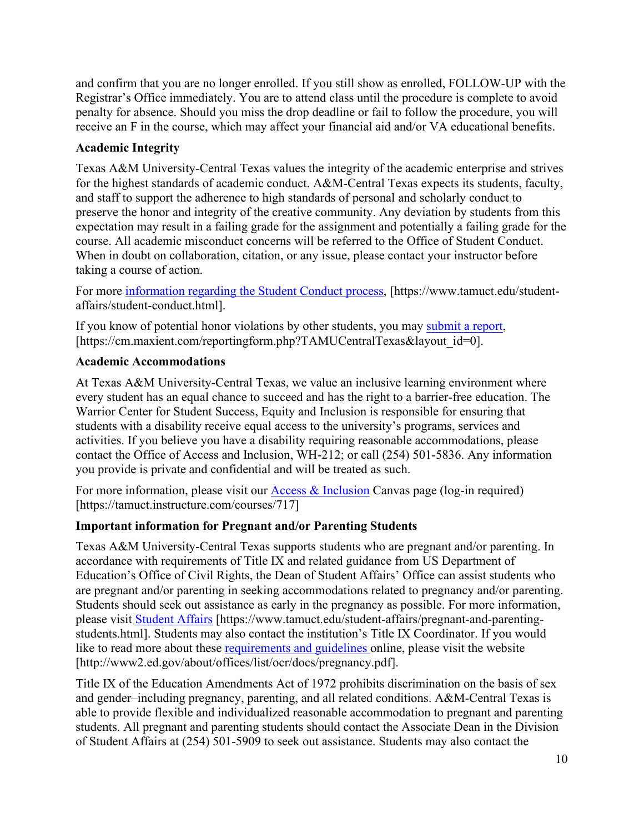and confirm that you are no longer enrolled. If you still show as enrolled, FOLLOW-UP with the Registrar's Office immediately. You are to attend class until the procedure is complete to avoid penalty for absence. Should you miss the drop deadline or fail to follow the procedure, you will receive an F in the course, which may affect your financial aid and/or VA educational benefits.

# **Academic Integrity**

Texas A&M University-Central Texas values the integrity of the academic enterprise and strives for the highest standards of academic conduct. A&M-Central Texas expects its students, faculty, and staff to support the adherence to high standards of personal and scholarly conduct to preserve the honor and integrity of the creative community. Any deviation by students from this expectation may result in a failing grade for the assignment and potentially a failing grade for the course. All academic misconduct concerns will be referred to the Office of Student Conduct. When in doubt on collaboration, citation, or any issue, please contact your instructor before taking a course of action.

For more [information](https://nam04.safelinks.protection.outlook.com/?url=https%3A%2F%2Fwww.tamuct.edu%2Fstudent-affairs%2Fstudent-conduct.html&data=04%7C01%7Clisa.bunkowski%40tamuct.edu%7Ccfb6e486f24745f53e1a08d910055cb2%7C9eed4e3000f744849ff193ad8005acec%7C0%7C0%7C637558437485252160%7CUnknown%7CTWFpbGZsb3d8eyJWIjoiMC4wLjAwMDAiLCJQIjoiV2luMzIiLCJBTiI6Ik1haWwiLCJXVCI6Mn0%3D%7C1000&sdata=yjftDEVHvLX%2FhM%2FcFU0B99krV1RgEWR%2BJ%2BhvtoR6TYk%3D&reserved=0) regarding the Student Conduct process, [https://www.tamuct.edu/studentaffairs/student-conduct.html].

If you know of potential honor violations by other students, you may [submit](https://nam04.safelinks.protection.outlook.com/?url=https%3A%2F%2Fcm.maxient.com%2Freportingform.php%3FTAMUCentralTexas%26layout_id%3D0&data=04%7C01%7Clisa.bunkowski%40tamuct.edu%7Ccfb6e486f24745f53e1a08d910055cb2%7C9eed4e3000f744849ff193ad8005acec%7C0%7C0%7C637558437485262157%7CUnknown%7CTWFpbGZsb3d8eyJWIjoiMC4wLjAwMDAiLCJQIjoiV2luMzIiLCJBTiI6Ik1haWwiLCJXVCI6Mn0%3D%7C1000&sdata=CXGkOa6uPDPX1IMZ87z3aZDq2n91xfHKu4MMS43Ejjk%3D&reserved=0) a report, [https://cm.maxient.com/reportingform.php?TAMUCentralTexas&layout\_id=0].

# **Academic Accommodations**

At Texas A&M University-Central Texas, we value an inclusive learning environment where every student has an equal chance to succeed and has the right to a barrier-free education. The Warrior Center for Student Success, Equity and Inclusion is responsible for ensuring that students with a disability receive equal access to the university's programs, services and activities. If you believe you have a disability requiring reasonable accommodations, please contact the Office of Access and Inclusion, WH-212; or call (254) 501-5836. Any information you provide is private and confidential and will be treated as such.

For more information, please visit our **Access & Inclusion** Canvas page (log-in required) [https://tamuct.instructure.com/courses/717]

# **Important information for Pregnant and/or Parenting Students**

Texas A&M University-Central Texas supports students who are pregnant and/or parenting. In accordance with requirements of Title IX and related guidance from US Department of Education's Office of Civil Rights, the Dean of Student Affairs' Office can assist students who are pregnant and/or parenting in seeking accommodations related to pregnancy and/or parenting. Students should seek out assistance as early in the pregnancy as possible. For more information, please visit [Student Affairs](https://www.tamuct.edu/student-affairs/pregnant-and-parenting-students.html) [https://www.tamuct.edu/student-affairs/pregnant-and-parentingstudents.html]. Students may also contact the institution's Title IX Coordinator. If you would like to read more about these [requirements and guidelines](http://www2.ed.gov/about/offices/list/ocr/docs/pregnancy.pdf) online, please visit the website [http://www2.ed.gov/about/offices/list/ocr/docs/pregnancy.pdf].

Title IX of the Education Amendments Act of 1972 prohibits discrimination on the basis of sex and gender–including pregnancy, parenting, and all related conditions. A&M-Central Texas is able to provide flexible and individualized reasonable accommodation to pregnant and parenting students. All pregnant and parenting students should contact the Associate Dean in the Division of Student Affairs at (254) 501-5909 to seek out assistance. Students may also contact the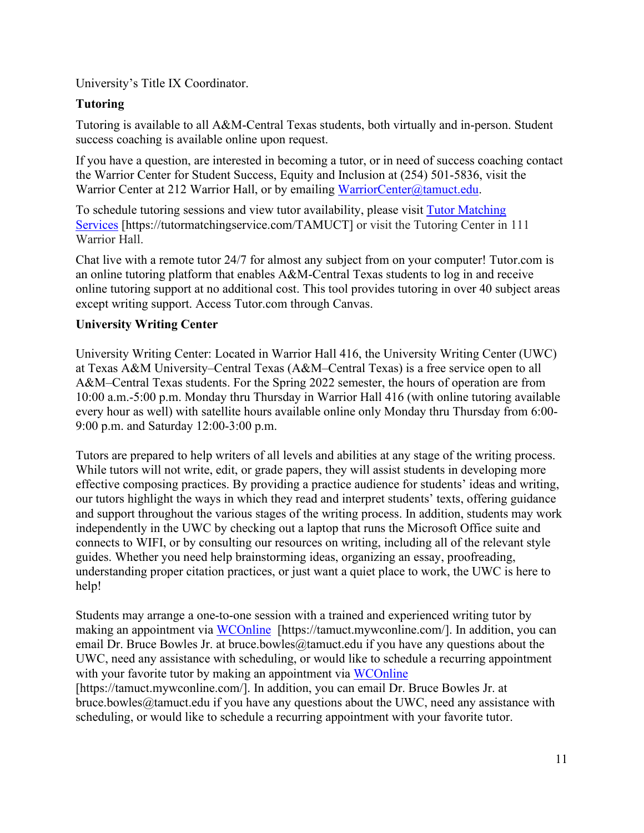University's Title IX Coordinator.

# **Tutoring**

Tutoring is available to all A&M-Central Texas students, both virtually and in-person. Student success coaching is available online upon request.

If you have a question, are interested in becoming a tutor, or in need of success coaching contact the Warrior Center for Student Success, Equity and Inclusion at (254) 501-5836, visit the Warrior Center at 212 Warrior Hall, or by emailing [WarriorCenter@tamuct.edu.](mailto:WarriorCenter@tamuct.edu)

To schedule tutoring sessions and view tutor availability, please visit Tutor [Matching](https://tutormatchingservice.com/TAMUCT) [Services](https://tutormatchingservice.com/TAMUCT) [https://tutormatchingservice.com/TAMUCT] or visit the Tutoring Center in 111 Warrior Hall.

Chat live with a remote tutor 24/7 for almost any subject from on your computer! Tutor.com is an online tutoring platform that enables A&M-Central Texas students to log in and receive online tutoring support at no additional cost. This tool provides tutoring in over 40 subject areas except writing support. Access Tutor.com through Canvas.

# **University Writing Center**

University Writing Center: Located in Warrior Hall 416, the University Writing Center (UWC) at Texas A&M University–Central Texas (A&M–Central Texas) is a free service open to all A&M–Central Texas students. For the Spring 2022 semester, the hours of operation are from 10:00 a.m.-5:00 p.m. Monday thru Thursday in Warrior Hall 416 (with online tutoring available every hour as well) with satellite hours available online only Monday thru Thursday from 6:00- 9:00 p.m. and Saturday 12:00-3:00 p.m.

Tutors are prepared to help writers of all levels and abilities at any stage of the writing process. While tutors will not write, edit, or grade papers, they will assist students in developing more effective composing practices. By providing a practice audience for students' ideas and writing, our tutors highlight the ways in which they read and interpret students' texts, offering guidance and support throughout the various stages of the writing process. In addition, students may work independently in the UWC by checking out a laptop that runs the Microsoft Office suite and connects to WIFI, or by consulting our resources on writing, including all of the relevant style guides. Whether you need help brainstorming ideas, organizing an essay, proofreading, understanding proper citation practices, or just want a quiet place to work, the UWC is here to help!

Students may arrange a one-to-one session with a trained and experienced writing tutor by making an appointment via [WCOnline](https://tamuct.mywconline.com/) [https://tamuct.mywconline.com/]. In addition, you can email Dr. Bruce Bowles Jr. at bruce.bowles  $@$ tamuct.edu if you have any questions about the UWC, need any assistance with scheduling, or would like to schedule a recurring appointment with your favorite tutor by making an appointment via [WCOnline](https://tamuct.mywconline.com/) [https://tamuct.mywconline.com/]. In addition, you can email Dr. Bruce Bowles Jr. at bruce.bowles@tamuct.edu if you have any questions about the UWC, need any assistance with scheduling, or would like to schedule a recurring appointment with your favorite tutor.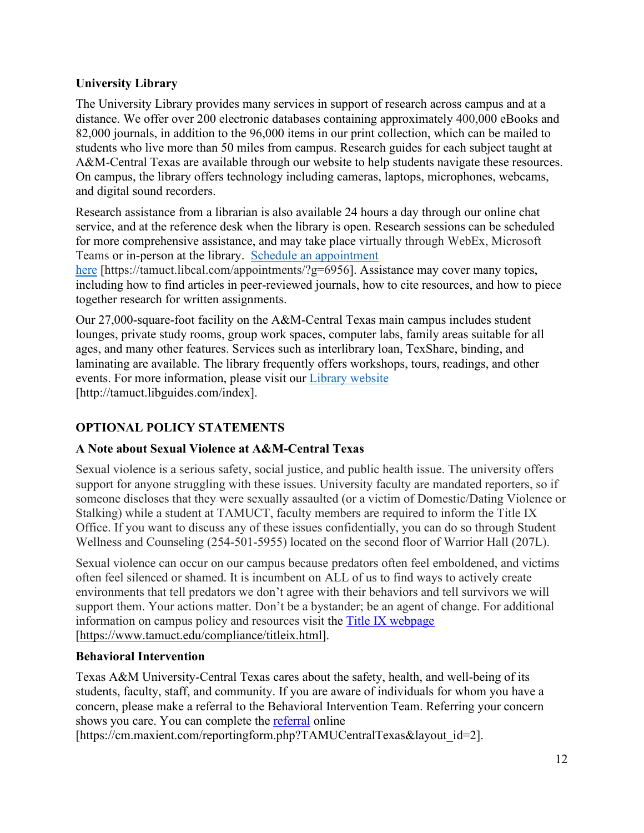# **University Library**

The University Library provides many services in support of research across campus and at a distance. We offer over 200 electronic databases containing approximately 400,000 eBooks and 82,000 journals, in addition to the 96,000 items in our print collection, which can be mailed to students who live more than 50 miles from campus. Research guides for each subject taught at A&M-Central Texas are available through our website to help students navigate these resources. On campus, the library offers technology including cameras, laptops, microphones, webcams, and digital sound recorders.

Research assistance from a librarian is also available 24 hours a day through our online chat service, and at the reference desk when the library is open. Research sessions can be scheduled for more comprehensive assistance, and may take place virtually through WebEx, Microsoft Teams or in-person at the library. Schedule an [appointment](https://nam04.safelinks.protection.outlook.com/?url=https%3A%2F%2Ftamuct.libcal.com%2Fappointments%2F%3Fg%3D6956&data=04%7C01%7Clisa.bunkowski%40tamuct.edu%7Cde2c07d9f5804f09518008d9ab7ba6ff%7C9eed4e3000f744849ff193ad8005acec%7C0%7C0%7C637729369835011558%7CUnknown%7CTWFpbGZsb3d8eyJWIjoiMC4wLjAwMDAiLCJQIjoiV2luMzIiLCJBTiI6Ik1haWwiLCJXVCI6Mn0%3D%7C3000&sdata=KhtjgRSAw9aq%2FoBsB6wyu8b7PSuGN5EGPypzr3Ty2No%3D&reserved=0)

[here](https://nam04.safelinks.protection.outlook.com/?url=https%3A%2F%2Ftamuct.libcal.com%2Fappointments%2F%3Fg%3D6956&data=04%7C01%7Clisa.bunkowski%40tamuct.edu%7Cde2c07d9f5804f09518008d9ab7ba6ff%7C9eed4e3000f744849ff193ad8005acec%7C0%7C0%7C637729369835011558%7CUnknown%7CTWFpbGZsb3d8eyJWIjoiMC4wLjAwMDAiLCJQIjoiV2luMzIiLCJBTiI6Ik1haWwiLCJXVCI6Mn0%3D%7C3000&sdata=KhtjgRSAw9aq%2FoBsB6wyu8b7PSuGN5EGPypzr3Ty2No%3D&reserved=0) [https://tamuct.libcal.com/appointments/?g=6956]. Assistance may cover many topics, including how to find articles in peer-reviewed journals, how to cite resources, and how to piece together research for written assignments.

Our 27,000-square-foot facility on the A&M-Central Texas main campus includes student lounges, private study rooms, group work spaces, computer labs, family areas suitable for all ages, and many other features. Services such as interlibrary loan, TexShare, binding, and laminating are available. The library frequently offers workshops, tours, readings, and other events. For more information, please visit our Library [website](https://nam04.safelinks.protection.outlook.com/?url=https%3A%2F%2Ftamuct.libguides.com%2Findex&data=04%7C01%7Clisa.bunkowski%40tamuct.edu%7C7d8489e8839a4915335f08d916f067f2%7C9eed4e3000f744849ff193ad8005acec%7C0%7C0%7C637566044056484222%7CUnknown%7CTWFpbGZsb3d8eyJWIjoiMC4wLjAwMDAiLCJQIjoiV2luMzIiLCJBTiI6Ik1haWwiLCJXVCI6Mn0%3D%7C1000&sdata=2R755V6rcIyedGrd4Os5rkgn1PvhHKU3kUV1vBKiHFo%3D&reserved=0) [http://tamuct.libguides.com/index].

# **OPTIONAL POLICY STATEMENTS**

# **A Note about Sexual Violence at A&M-Central Texas**

Sexual violence is a serious safety, social justice, and public health issue. The university offers support for anyone struggling with these issues. University faculty are mandated reporters, so if someone discloses that they were sexually assaulted (or a victim of Domestic/Dating Violence or Stalking) while a student at TAMUCT, faculty members are required to inform the Title IX Office. If you want to discuss any of these issues confidentially, you can do so through Student Wellness and Counseling (254-501-5955) located on the second floor of Warrior Hall (207L).

Sexual violence can occur on our campus because predators often feel emboldened, and victims often feel silenced or shamed. It is incumbent on ALL of us to find ways to actively create environments that tell predators we don't agree with their behaviors and tell survivors we will support them. Your actions matter. Don't be a bystander; be an agent of change. For additional information on campus policy and resources visit the [Title IX webpage](https://www.tamuct.edu/compliance/titleix.html) [\[https://www.tamuct.edu/compliance/titleix.html\]](https://www.tamuct.edu/compliance/titleix.html).

# **Behavioral Intervention**

Texas A&M University-Central Texas cares about the safety, health, and well-being of its students, faculty, staff, and community. If you are aware of individuals for whom you have a concern, please make a referral to the Behavioral Intervention Team. Referring your concern shows you care. You can complete the [referral](https://cm.maxient.com/reportingform.php?TAMUCentralTexas&layout_id=2) online

[https://cm.maxient.com/reportingform.php?TAMUCentralTexas&layout\_id=2].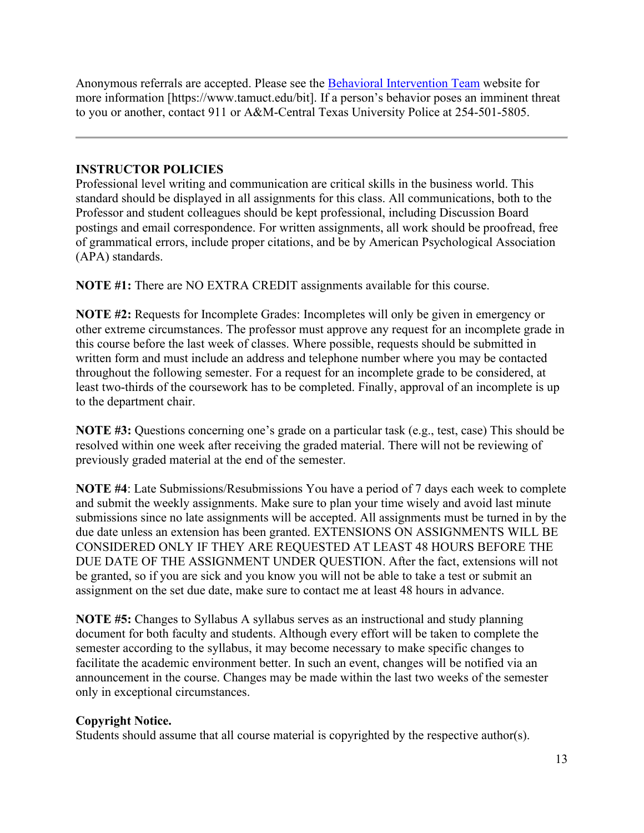Anonymous referrals are accepted. Please see the [Behavioral Intervention Team](https://www.tamuct.edu/bit) website for more information [https://www.tamuct.edu/bit]. If a person's behavior poses an imminent threat to you or another, contact 911 or A&M-Central Texas University Police at 254-501-5805.

# **INSTRUCTOR POLICIES**

Professional level writing and communication are critical skills in the business world. This standard should be displayed in all assignments for this class. All communications, both to the Professor and student colleagues should be kept professional, including Discussion Board postings and email correspondence. For written assignments, all work should be proofread, free of grammatical errors, include proper citations, and be by American Psychological Association (APA) standards.

**NOTE #1:** There are NO EXTRA CREDIT assignments available for this course.

**NOTE #2:** Requests for Incomplete Grades: Incompletes will only be given in emergency or other extreme circumstances. The professor must approve any request for an incomplete grade in this course before the last week of classes. Where possible, requests should be submitted in written form and must include an address and telephone number where you may be contacted throughout the following semester. For a request for an incomplete grade to be considered, at least two-thirds of the coursework has to be completed. Finally, approval of an incomplete is up to the department chair.

**NOTE #3:** Questions concerning one's grade on a particular task (e.g., test, case) This should be resolved within one week after receiving the graded material. There will not be reviewing of previously graded material at the end of the semester.

**NOTE #4**: Late Submissions/Resubmissions You have a period of 7 days each week to complete and submit the weekly assignments. Make sure to plan your time wisely and avoid last minute submissions since no late assignments will be accepted. All assignments must be turned in by the due date unless an extension has been granted. EXTENSIONS ON ASSIGNMENTS WILL BE CONSIDERED ONLY IF THEY ARE REQUESTED AT LEAST 48 HOURS BEFORE THE DUE DATE OF THE ASSIGNMENT UNDER QUESTION. After the fact, extensions will not be granted, so if you are sick and you know you will not be able to take a test or submit an assignment on the set due date, make sure to contact me at least 48 hours in advance.

**NOTE #5:** Changes to Syllabus A syllabus serves as an instructional and study planning document for both faculty and students. Although every effort will be taken to complete the semester according to the syllabus, it may become necessary to make specific changes to facilitate the academic environment better. In such an event, changes will be notified via an announcement in the course. Changes may be made within the last two weeks of the semester only in exceptional circumstances.

# **Copyright Notice.**

Students should assume that all course material is copyrighted by the respective author(s).